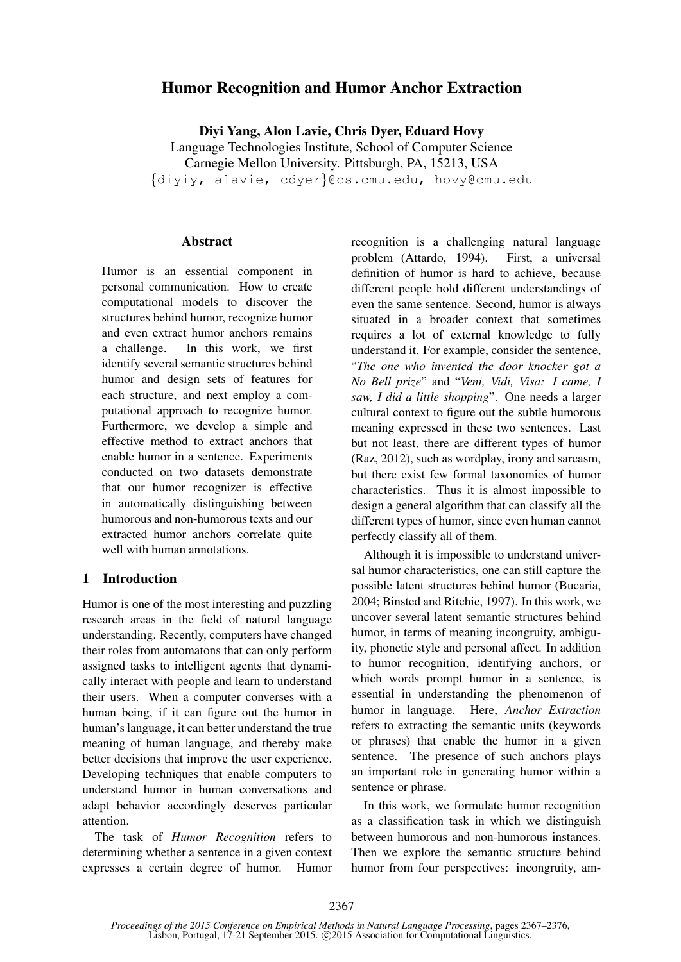# Humor Recognition and Humor Anchor Extraction

Diyi Yang, Alon Lavie, Chris Dyer, Eduard Hovy

Language Technologies Institute, School of Computer Science

Carnegie Mellon University. Pittsburgh, PA, 15213, USA

{diyiy, alavie, cdyer}@cs.cmu.edu, hovy@cmu.edu

#### **Abstract**

Humor is an essential component in personal communication. How to create computational models to discover the structures behind humor, recognize humor and even extract humor anchors remains a challenge. In this work, we first identify several semantic structures behind humor and design sets of features for each structure, and next employ a computational approach to recognize humor. Furthermore, we develop a simple and effective method to extract anchors that enable humor in a sentence. Experiments conducted on two datasets demonstrate that our humor recognizer is effective in automatically distinguishing between humorous and non-humorous texts and our extracted humor anchors correlate quite well with human annotations.

## 1 Introduction

Humor is one of the most interesting and puzzling research areas in the field of natural language understanding. Recently, computers have changed their roles from automatons that can only perform assigned tasks to intelligent agents that dynamically interact with people and learn to understand their users. When a computer converses with a human being, if it can figure out the humor in human's language, it can better understand the true meaning of human language, and thereby make better decisions that improve the user experience. Developing techniques that enable computers to understand humor in human conversations and adapt behavior accordingly deserves particular attention.

The task of *Humor Recognition* refers to determining whether a sentence in a given context expresses a certain degree of humor. Humor recognition is a challenging natural language problem (Attardo, 1994). First, a universal definition of humor is hard to achieve, because different people hold different understandings of even the same sentence. Second, humor is always situated in a broader context that sometimes requires a lot of external knowledge to fully understand it. For example, consider the sentence, "*The one who invented the door knocker got a No Bell prize*" and "*Veni, Vidi, Visa: I came, I saw, I did a little shopping*". One needs a larger cultural context to figure out the subtle humorous meaning expressed in these two sentences. Last but not least, there are different types of humor (Raz, 2012), such as wordplay, irony and sarcasm, but there exist few formal taxonomies of humor characteristics. Thus it is almost impossible to design a general algorithm that can classify all the different types of humor, since even human cannot perfectly classify all of them.

Although it is impossible to understand universal humor characteristics, one can still capture the possible latent structures behind humor (Bucaria, 2004; Binsted and Ritchie, 1997). In this work, we uncover several latent semantic structures behind humor, in terms of meaning incongruity, ambiguity, phonetic style and personal affect. In addition to humor recognition, identifying anchors, or which words prompt humor in a sentence, is essential in understanding the phenomenon of humor in language. Here, *Anchor Extraction* refers to extracting the semantic units (keywords or phrases) that enable the humor in a given sentence. The presence of such anchors plays an important role in generating humor within a sentence or phrase.

In this work, we formulate humor recognition as a classification task in which we distinguish between humorous and non-humorous instances. Then we explore the semantic structure behind humor from four perspectives: incongruity, am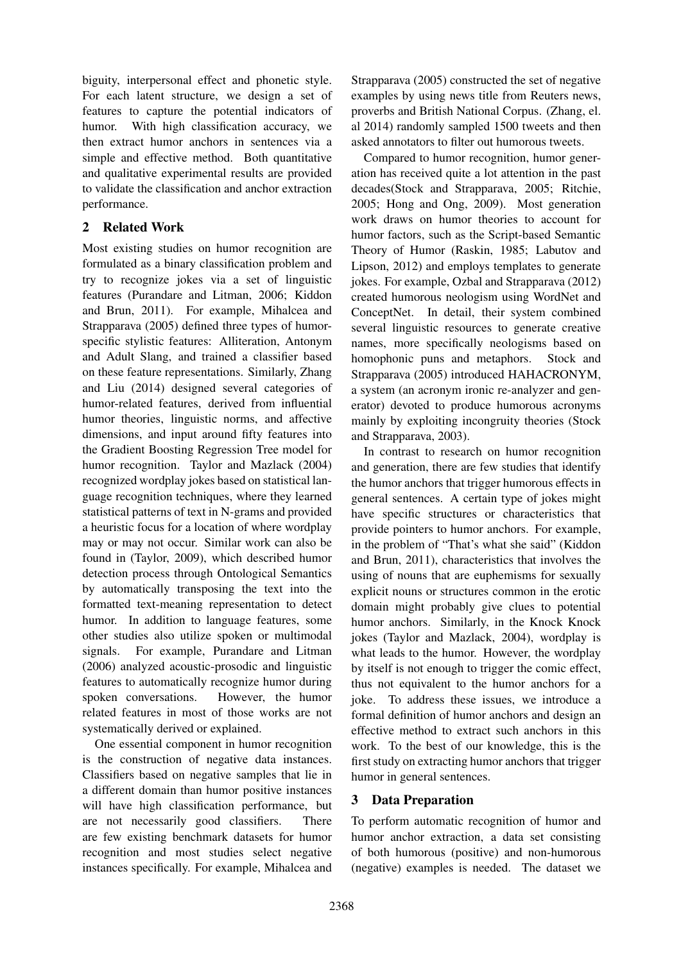biguity, interpersonal effect and phonetic style. For each latent structure, we design a set of features to capture the potential indicators of humor. With high classification accuracy, we then extract humor anchors in sentences via a simple and effective method. Both quantitative and qualitative experimental results are provided to validate the classification and anchor extraction performance.

# 2 Related Work

Most existing studies on humor recognition are formulated as a binary classification problem and try to recognize jokes via a set of linguistic features (Purandare and Litman, 2006; Kiddon and Brun, 2011). For example, Mihalcea and Strapparava (2005) defined three types of humorspecific stylistic features: Alliteration, Antonym and Adult Slang, and trained a classifier based on these feature representations. Similarly, Zhang and Liu (2014) designed several categories of humor-related features, derived from influential humor theories, linguistic norms, and affective dimensions, and input around fifty features into the Gradient Boosting Regression Tree model for humor recognition. Taylor and Mazlack (2004) recognized wordplay jokes based on statistical language recognition techniques, where they learned statistical patterns of text in N-grams and provided a heuristic focus for a location of where wordplay may or may not occur. Similar work can also be found in (Taylor, 2009), which described humor detection process through Ontological Semantics by automatically transposing the text into the formatted text-meaning representation to detect humor. In addition to language features, some other studies also utilize spoken or multimodal signals. For example, Purandare and Litman (2006) analyzed acoustic-prosodic and linguistic features to automatically recognize humor during spoken conversations. However, the humor related features in most of those works are not systematically derived or explained.

One essential component in humor recognition is the construction of negative data instances. Classifiers based on negative samples that lie in a different domain than humor positive instances will have high classification performance, but are not necessarily good classifiers. There are few existing benchmark datasets for humor recognition and most studies select negative instances specifically. For example, Mihalcea and

Strapparava (2005) constructed the set of negative examples by using news title from Reuters news, proverbs and British National Corpus. (Zhang, el. al 2014) randomly sampled 1500 tweets and then asked annotators to filter out humorous tweets.

Compared to humor recognition, humor generation has received quite a lot attention in the past decades(Stock and Strapparava, 2005; Ritchie, 2005; Hong and Ong, 2009). Most generation work draws on humor theories to account for humor factors, such as the Script-based Semantic Theory of Humor (Raskin, 1985; Labutov and Lipson, 2012) and employs templates to generate jokes. For example, Ozbal and Strapparava (2012) created humorous neologism using WordNet and ConceptNet. In detail, their system combined several linguistic resources to generate creative names, more specifically neologisms based on homophonic puns and metaphors. Stock and Strapparava (2005) introduced HAHACRONYM, a system (an acronym ironic re-analyzer and generator) devoted to produce humorous acronyms mainly by exploiting incongruity theories (Stock and Strapparava, 2003).

In contrast to research on humor recognition and generation, there are few studies that identify the humor anchors that trigger humorous effects in general sentences. A certain type of jokes might have specific structures or characteristics that provide pointers to humor anchors. For example, in the problem of "That's what she said" (Kiddon and Brun, 2011), characteristics that involves the using of nouns that are euphemisms for sexually explicit nouns or structures common in the erotic domain might probably give clues to potential humor anchors. Similarly, in the Knock Knock jokes (Taylor and Mazlack, 2004), wordplay is what leads to the humor. However, the wordplay by itself is not enough to trigger the comic effect, thus not equivalent to the humor anchors for a joke. To address these issues, we introduce a formal definition of humor anchors and design an effective method to extract such anchors in this work. To the best of our knowledge, this is the first study on extracting humor anchors that trigger humor in general sentences.

# 3 Data Preparation

To perform automatic recognition of humor and humor anchor extraction, a data set consisting of both humorous (positive) and non-humorous (negative) examples is needed. The dataset we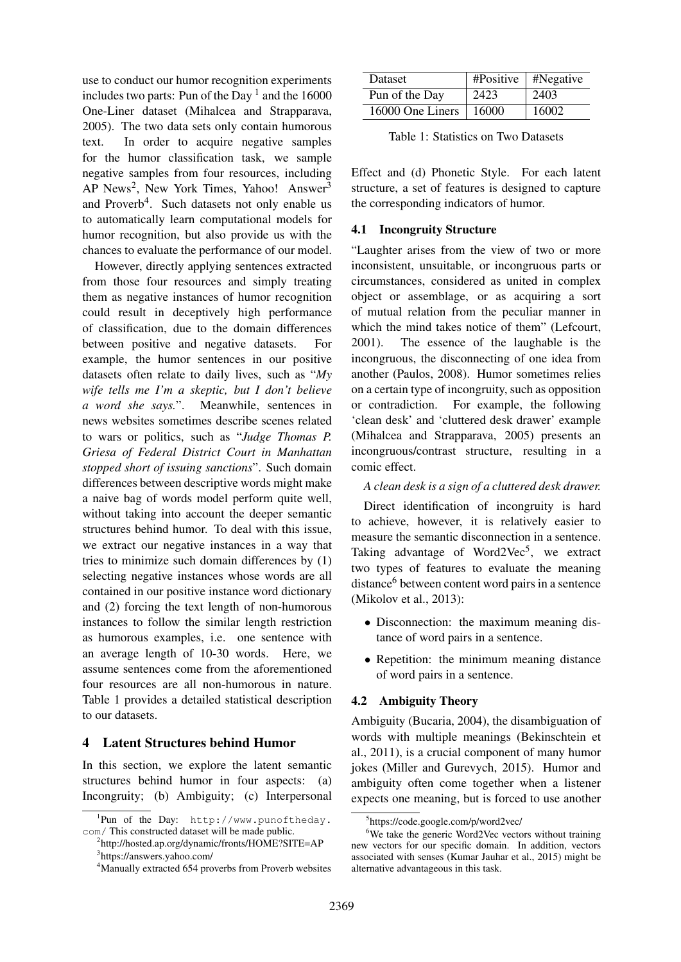use to conduct our humor recognition experiments includes two parts: Pun of the Day  $<sup>1</sup>$  and the 16000</sup> One-Liner dataset (Mihalcea and Strapparava, 2005). The two data sets only contain humorous text. In order to acquire negative samples for the humor classification task, we sample negative samples from four resources, including AP News<sup>2</sup>, New York Times, Yahoo! Answer<sup>3</sup> and Proverb<sup>4</sup>. Such datasets not only enable us to automatically learn computational models for humor recognition, but also provide us with the chances to evaluate the performance of our model.

However, directly applying sentences extracted from those four resources and simply treating them as negative instances of humor recognition could result in deceptively high performance of classification, due to the domain differences between positive and negative datasets. For example, the humor sentences in our positive datasets often relate to daily lives, such as "*My wife tells me I'm a skeptic, but I don't believe a word she says.*". Meanwhile, sentences in news websites sometimes describe scenes related to wars or politics, such as "*Judge Thomas P. Griesa of Federal District Court in Manhattan stopped short of issuing sanctions*". Such domain differences between descriptive words might make a naive bag of words model perform quite well, without taking into account the deeper semantic structures behind humor. To deal with this issue, we extract our negative instances in a way that tries to minimize such domain differences by (1) selecting negative instances whose words are all contained in our positive instance word dictionary and (2) forcing the text length of non-humorous instances to follow the similar length restriction as humorous examples, i.e. one sentence with an average length of 10-30 words. Here, we assume sentences come from the aforementioned four resources are all non-humorous in nature. Table 1 provides a detailed statistical description to our datasets.

#### 4 Latent Structures behind Humor

In this section, we explore the latent semantic structures behind humor in four aspects: (a) Incongruity; (b) Ambiguity; (c) Interpersonal

| Dataset          | $\#Positive$ | $ $ #Negative |
|------------------|--------------|---------------|
| Pun of the Day   | 2423         | 2403          |
| 16000 One Liners | 16000        | 16002         |

Table 1: Statistics on Two Datasets

Effect and (d) Phonetic Style. For each latent structure, a set of features is designed to capture the corresponding indicators of humor.

## 4.1 Incongruity Structure

"Laughter arises from the view of two or more inconsistent, unsuitable, or incongruous parts or circumstances, considered as united in complex object or assemblage, or as acquiring a sort of mutual relation from the peculiar manner in which the mind takes notice of them" (Lefcourt, 2001). The essence of the laughable is the incongruous, the disconnecting of one idea from another (Paulos, 2008). Humor sometimes relies on a certain type of incongruity, such as opposition or contradiction. For example, the following 'clean desk' and 'cluttered desk drawer' example (Mihalcea and Strapparava, 2005) presents an incongruous/contrast structure, resulting in a comic effect.

## *A clean desk is a sign of a cluttered desk drawer.*

Direct identification of incongruity is hard to achieve, however, it is relatively easier to measure the semantic disconnection in a sentence. Taking advantage of Word2Vec<sup>5</sup>, we extract two types of features to evaluate the meaning distance<sup>6</sup> between content word pairs in a sentence (Mikolov et al., 2013):

- Disconnection: the maximum meaning distance of word pairs in a sentence.
- Repetition: the minimum meaning distance of word pairs in a sentence.

## 4.2 Ambiguity Theory

Ambiguity (Bucaria, 2004), the disambiguation of words with multiple meanings (Bekinschtein et al., 2011), is a crucial component of many humor jokes (Miller and Gurevych, 2015). Humor and ambiguity often come together when a listener expects one meaning, but is forced to use another

<sup>1</sup> Pun of the Day: http://www.punoftheday. com/ This constructed dataset will be made public.

<sup>2</sup> http://hosted.ap.org/dynamic/fronts/HOME?SITE=AP 3 https://answers.yahoo.com/

<sup>&</sup>lt;sup>4</sup>Manually extracted 654 proverbs from Proverb websites

<sup>5</sup> https://code.google.com/p/word2vec/

 $6W$ e take the generic Word2Vec vectors without training new vectors for our specific domain. In addition, vectors associated with senses (Kumar Jauhar et al., 2015) might be alternative advantageous in this task.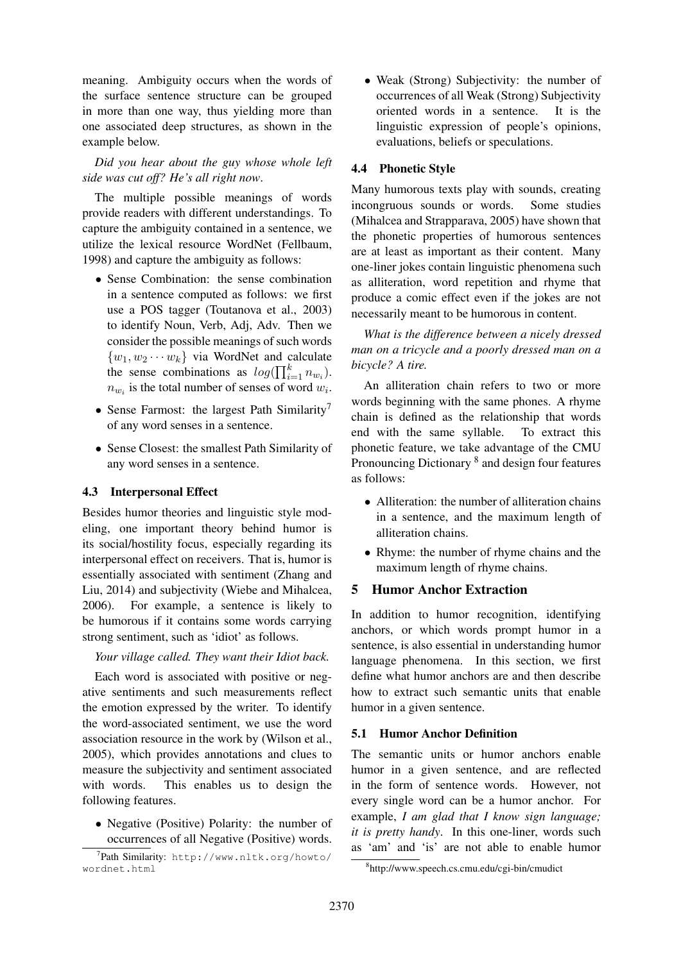meaning. Ambiguity occurs when the words of the surface sentence structure can be grouped in more than one way, thus yielding more than one associated deep structures, as shown in the example below.

## *Did you hear about the guy whose whole left side was cut off? He's all right now*.

The multiple possible meanings of words provide readers with different understandings. To capture the ambiguity contained in a sentence, we utilize the lexical resource WordNet (Fellbaum, 1998) and capture the ambiguity as follows:

- Sense Combination: the sense combination in a sentence computed as follows: we first use a POS tagger (Toutanova et al., 2003) to identify Noun, Verb, Adj, Adv. Then we consider the possible meanings of such words  $\{w_1, w_2 \cdots w_k\}$  via WordNet and calculate the sense combinations as  $log(\prod_{i=1}^{k} n_{w_i})$ .  $n_{w_i}$  is the total number of senses of word  $w_i$ .
- Sense Farmost: the largest Path Similarity<sup>7</sup> of any word senses in a sentence.
- Sense Closest: the smallest Path Similarity of any word senses in a sentence.

## 4.3 Interpersonal Effect

Besides humor theories and linguistic style modeling, one important theory behind humor is its social/hostility focus, especially regarding its interpersonal effect on receivers. That is, humor is essentially associated with sentiment (Zhang and Liu, 2014) and subjectivity (Wiebe and Mihalcea, 2006). For example, a sentence is likely to be humorous if it contains some words carrying strong sentiment, such as 'idiot' as follows.

*Your village called. They want their Idiot back.*

Each word is associated with positive or negative sentiments and such measurements reflect the emotion expressed by the writer. To identify the word-associated sentiment, we use the word association resource in the work by (Wilson et al., 2005), which provides annotations and clues to measure the subjectivity and sentiment associated with words. This enables us to design the following features.

• Negative (Positive) Polarity: the number of occurrences of all Negative (Positive) words. • Weak (Strong) Subjectivity: the number of occurrences of all Weak (Strong) Subjectivity oriented words in a sentence. It is the linguistic expression of people's opinions, evaluations, beliefs or speculations.

## 4.4 Phonetic Style

Many humorous texts play with sounds, creating incongruous sounds or words. Some studies (Mihalcea and Strapparava, 2005) have shown that the phonetic properties of humorous sentences are at least as important as their content. Many one-liner jokes contain linguistic phenomena such as alliteration, word repetition and rhyme that produce a comic effect even if the jokes are not necessarily meant to be humorous in content.

*What is the difference between a nicely dressed man on a tricycle and a poorly dressed man on a bicycle? A tire.*

An alliteration chain refers to two or more words beginning with the same phones. A rhyme chain is defined as the relationship that words end with the same syllable. To extract this phonetic feature, we take advantage of the CMU Pronouncing Dictionary<sup>8</sup> and design four features as follows:

- Alliteration: the number of alliteration chains in a sentence, and the maximum length of alliteration chains.
- Rhyme: the number of rhyme chains and the maximum length of rhyme chains.

# 5 Humor Anchor Extraction

In addition to humor recognition, identifying anchors, or which words prompt humor in a sentence, is also essential in understanding humor language phenomena. In this section, we first define what humor anchors are and then describe how to extract such semantic units that enable humor in a given sentence.

# 5.1 Humor Anchor Definition

The semantic units or humor anchors enable humor in a given sentence, and are reflected in the form of sentence words. However, not every single word can be a humor anchor. For example, *I am glad that I know sign language; it is pretty handy*. In this one-liner, words such as 'am' and 'is' are not able to enable humor

<sup>7</sup> Path Similarity: http://www.nltk.org/howto/ wordnet.html

<sup>8</sup> http://www.speech.cs.cmu.edu/cgi-bin/cmudict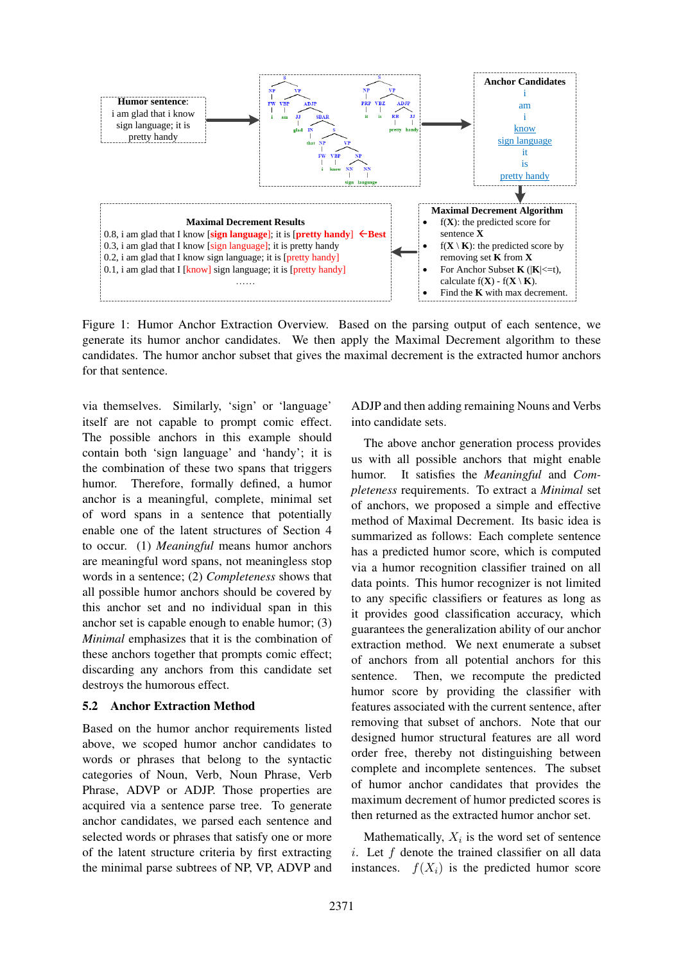

Figure 1: Humor Anchor Extraction Overview. Based on the parsing output of each sentence, we generate its humor anchor candidates. We then apply the Maximal Decrement algorithm to these candidates. The humor anchor subset that gives the maximal decrement is the extracted humor anchors for that sentence.

via themselves. Similarly, 'sign' or 'language' itself are not capable to prompt comic effect. The possible anchors in this example should contain both 'sign language' and 'handy'; it is the combination of these two spans that triggers humor. Therefore, formally defined, a humor anchor is a meaningful, complete, minimal set of word spans in a sentence that potentially enable one of the latent structures of Section 4 to occur. (1) *Meaningful* means humor anchors are meaningful word spans, not meaningless stop words in a sentence; (2) *Completeness* shows that all possible humor anchors should be covered by this anchor set and no individual span in this anchor set is capable enough to enable humor; (3) *Minimal* emphasizes that it is the combination of these anchors together that prompts comic effect; discarding any anchors from this candidate set destroys the humorous effect.

#### 5.2 Anchor Extraction Method

Based on the humor anchor requirements listed above, we scoped humor anchor candidates to words or phrases that belong to the syntactic categories of Noun, Verb, Noun Phrase, Verb Phrase, ADVP or ADJP. Those properties are acquired via a sentence parse tree. To generate anchor candidates, we parsed each sentence and selected words or phrases that satisfy one or more of the latent structure criteria by first extracting the minimal parse subtrees of NP, VP, ADVP and

ADJP and then adding remaining Nouns and Verbs into candidate sets.

The above anchor generation process provides us with all possible anchors that might enable humor. It satisfies the *Meaningful* and *Completeness* requirements. To extract a *Minimal* set of anchors, we proposed a simple and effective method of Maximal Decrement. Its basic idea is summarized as follows: Each complete sentence has a predicted humor score, which is computed via a humor recognition classifier trained on all data points. This humor recognizer is not limited to any specific classifiers or features as long as it provides good classification accuracy, which guarantees the generalization ability of our anchor extraction method. We next enumerate a subset of anchors from all potential anchors for this sentence. Then, we recompute the predicted humor score by providing the classifier with features associated with the current sentence, after removing that subset of anchors. Note that our designed humor structural features are all word order free, thereby not distinguishing between complete and incomplete sentences. The subset of humor anchor candidates that provides the maximum decrement of humor predicted scores is then returned as the extracted humor anchor set.

Mathematically,  $X_i$  is the word set of sentence i. Let  $f$  denote the trained classifier on all data instances.  $f(X_i)$  is the predicted humor score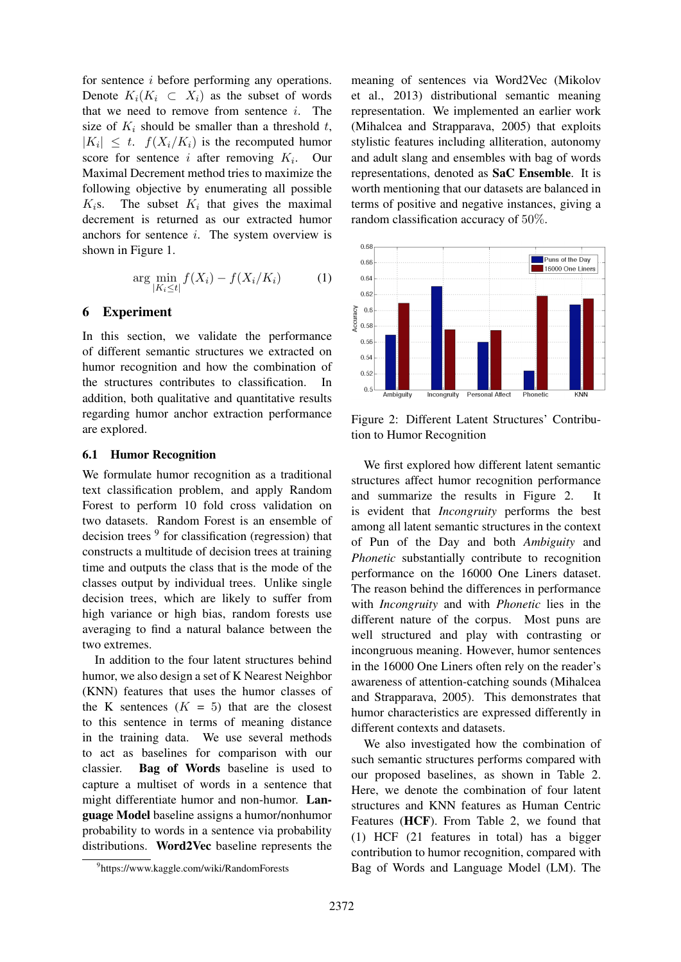for sentence i before performing any operations. Denote  $K_i(K_i \subset X_i)$  as the subset of words that we need to remove from sentence  $i$ . The size of  $K_i$  should be smaller than a threshold t,  $|K_i| \leq t$ .  $f(X_i/K_i)$  is the recomputed humor score for sentence i after removing  $K_i$ . Our Maximal Decrement method tries to maximize the following objective by enumerating all possible  $K_i$ s. The subset  $K_i$  that gives the maximal decrement is returned as our extracted humor anchors for sentence i. The system overview is shown in Figure 1.

$$
\arg\min_{|K_i \le t|} f(X_i) - f(X_i/K_i) \tag{1}
$$

#### 6 Experiment

In this section, we validate the performance of different semantic structures we extracted on humor recognition and how the combination of the structures contributes to classification. In addition, both qualitative and quantitative results regarding humor anchor extraction performance are explored.

#### 6.1 Humor Recognition

We formulate humor recognition as a traditional text classification problem, and apply Random Forest to perform 10 fold cross validation on two datasets. Random Forest is an ensemble of decision trees <sup>9</sup> for classification (regression) that constructs a multitude of decision trees at training time and outputs the class that is the mode of the classes output by individual trees. Unlike single decision trees, which are likely to suffer from high variance or high bias, random forests use averaging to find a natural balance between the two extremes.

In addition to the four latent structures behind humor, we also design a set of K Nearest Neighbor (KNN) features that uses the humor classes of the K sentences  $(K = 5)$  that are the closest to this sentence in terms of meaning distance in the training data. We use several methods to act as baselines for comparison with our classier. Bag of Words baseline is used to capture a multiset of words in a sentence that might differentiate humor and non-humor. Language Model baseline assigns a humor/nonhumor probability to words in a sentence via probability distributions. Word2Vec baseline represents the

meaning of sentences via Word2Vec (Mikolov et al., 2013) distributional semantic meaning representation. We implemented an earlier work (Mihalcea and Strapparava, 2005) that exploits stylistic features including alliteration, autonomy and adult slang and ensembles with bag of words representations, denoted as SaC Ensemble. It is worth mentioning that our datasets are balanced in terms of positive and negative instances, giving a random classification accuracy of 50%.



Figure 2: Different Latent Structures' Contribution to Humor Recognition

We first explored how different latent semantic structures affect humor recognition performance and summarize the results in Figure 2. It is evident that *Incongruity* performs the best among all latent semantic structures in the context of Pun of the Day and both *Ambiguity* and *Phonetic* substantially contribute to recognition performance on the 16000 One Liners dataset. The reason behind the differences in performance with *Incongruity* and with *Phonetic* lies in the different nature of the corpus. Most puns are well structured and play with contrasting or incongruous meaning. However, humor sentences in the 16000 One Liners often rely on the reader's awareness of attention-catching sounds (Mihalcea and Strapparava, 2005). This demonstrates that humor characteristics are expressed differently in different contexts and datasets.

We also investigated how the combination of such semantic structures performs compared with our proposed baselines, as shown in Table 2. Here, we denote the combination of four latent structures and KNN features as Human Centric Features (HCF). From Table 2, we found that (1) HCF (21 features in total) has a bigger contribution to humor recognition, compared with Bag of Words and Language Model (LM). The

<sup>9</sup> https://www.kaggle.com/wiki/RandomForests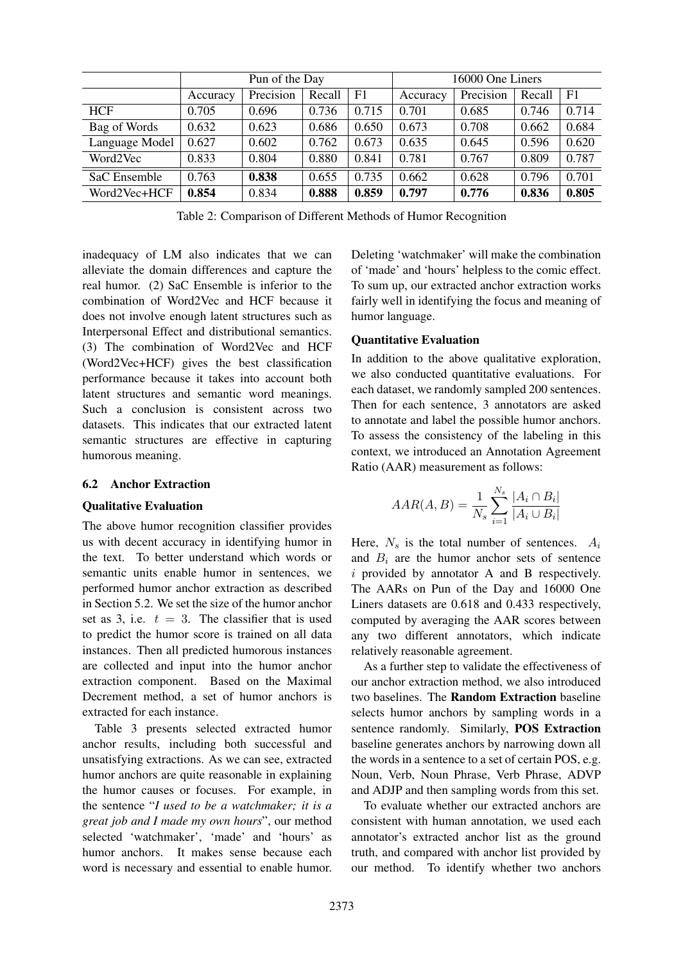|                | Pun of the Day |           |        | 16000 One Liners |          |           |        |                |
|----------------|----------------|-----------|--------|------------------|----------|-----------|--------|----------------|
|                | Accuracy       | Precision | Recall | F1               | Accuracy | Precision | Recall | F <sub>1</sub> |
| <b>HCF</b>     | 0.705          | 0.696     | 0.736  | 0.715            | 0.701    | 0.685     | 0.746  | 0.714          |
| Bag of Words   | 0.632          | 0.623     | 0.686  | 0.650            | 0.673    | 0.708     | 0.662  | 0.684          |
| Language Model | 0.627          | 0.602     | 0.762  | 0.673            | 0.635    | 0.645     | 0.596  | 0.620          |
| Word2Vec       | 0.833          | 0.804     | 0.880  | 0.841            | 0.781    | 0.767     | 0.809  | 0.787          |
| SaC Ensemble   | 0.763          | 0.838     | 0.655  | 0.735            | 0.662    | 0.628     | 0.796  | 0.701          |
| Word2Vec+HCF   | 0.854          | 0.834     | 0.888  | 0.859            | 0.797    | 0.776     | 0.836  | 0.805          |

Table 2: Comparison of Different Methods of Humor Recognition

inadequacy of LM also indicates that we can alleviate the domain differences and capture the real humor. (2) SaC Ensemble is inferior to the combination of Word2Vec and HCF because it does not involve enough latent structures such as Interpersonal Effect and distributional semantics. (3) The combination of Word2Vec and HCF (Word2Vec+HCF) gives the best classification performance because it takes into account both latent structures and semantic word meanings. Such a conclusion is consistent across two datasets. This indicates that our extracted latent semantic structures are effective in capturing humorous meaning.

## 6.2 Anchor Extraction

#### Qualitative Evaluation

The above humor recognition classifier provides us with decent accuracy in identifying humor in the text. To better understand which words or semantic units enable humor in sentences, we performed humor anchor extraction as described in Section 5.2. We set the size of the humor anchor set as 3, i.e.  $t = 3$ . The classifier that is used to predict the humor score is trained on all data instances. Then all predicted humorous instances are collected and input into the humor anchor extraction component. Based on the Maximal Decrement method, a set of humor anchors is extracted for each instance.

Table 3 presents selected extracted humor anchor results, including both successful and unsatisfying extractions. As we can see, extracted humor anchors are quite reasonable in explaining the humor causes or focuses. For example, in the sentence "*I used to be a watchmaker; it is a great job and I made my own hours*", our method selected 'watchmaker', 'made' and 'hours' as humor anchors. It makes sense because each word is necessary and essential to enable humor.

Deleting 'watchmaker' will make the combination of 'made' and 'hours' helpless to the comic effect. To sum up, our extracted anchor extraction works fairly well in identifying the focus and meaning of humor language.

#### Quantitative Evaluation

In addition to the above qualitative exploration, we also conducted quantitative evaluations. For each dataset, we randomly sampled 200 sentences. Then for each sentence, 3 annotators are asked to annotate and label the possible humor anchors. To assess the consistency of the labeling in this context, we introduced an Annotation Agreement Ratio (AAR) measurement as follows:

$$
AAR(A, B) = \frac{1}{N_s} \sum_{i=1}^{N_s} \frac{|A_i \cap B_i|}{|A_i \cup B_i|}
$$

Here,  $N_s$  is the total number of sentences.  $A_i$ and  $B_i$  are the humor anchor sets of sentence i provided by annotator A and B respectively. The AARs on Pun of the Day and 16000 One Liners datasets are 0.618 and 0.433 respectively, computed by averaging the AAR scores between any two different annotators, which indicate relatively reasonable agreement.

As a further step to validate the effectiveness of our anchor extraction method, we also introduced two baselines. The Random Extraction baseline selects humor anchors by sampling words in a sentence randomly. Similarly, POS Extraction baseline generates anchors by narrowing down all the words in a sentence to a set of certain POS, e.g. Noun, Verb, Noun Phrase, Verb Phrase, ADVP and ADJP and then sampling words from this set.

To evaluate whether our extracted anchors are consistent with human annotation, we used each annotator's extracted anchor list as the ground truth, and compared with anchor list provided by our method. To identify whether two anchors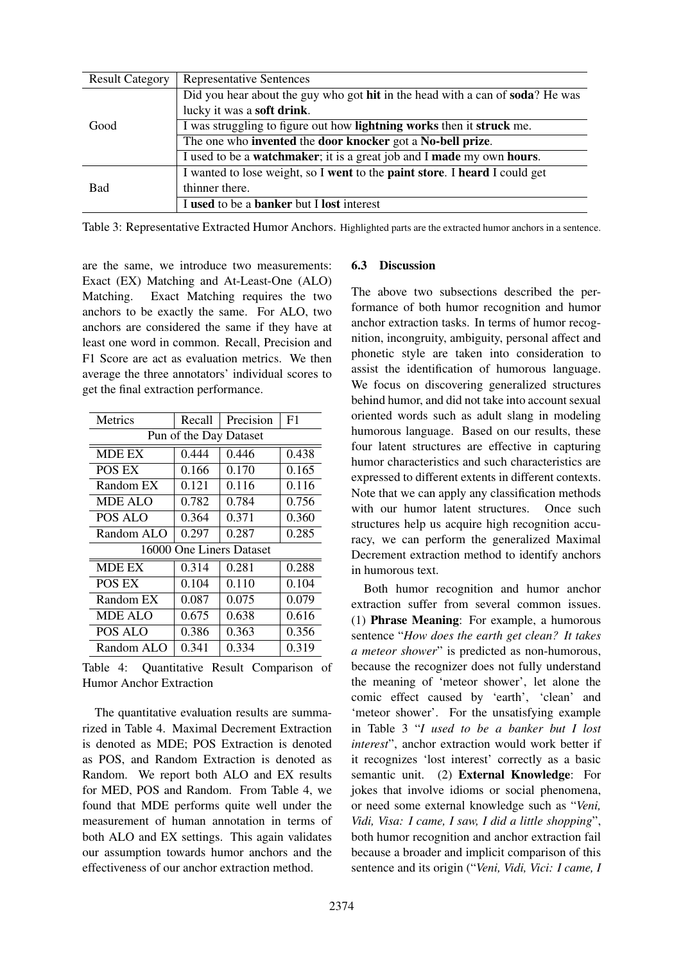| <b>Result Category</b> | <b>Representative Sentences</b>                                                              |
|------------------------|----------------------------------------------------------------------------------------------|
|                        | Did you hear about the guy who got <b>hit</b> in the head with a can of <b>soda</b> ? He was |
|                        | lucky it was a <b>soft drink</b> .                                                           |
| Good                   | I was struggling to figure out how <b>lightning works</b> then it <b>struck</b> me.          |
|                        | The one who invented the door knocker got a No-bell prize.                                   |
|                        | I used to be a <b>watchmaker</b> ; it is a great job and I <b>made</b> my own hours.         |
|                        | I wanted to lose weight, so I went to the paint store. I heard I could get                   |
| <b>Bad</b>             | thinner there.                                                                               |
|                        | I used to be a <b>banker</b> but I <b>lost</b> interest                                      |

Table 3: Representative Extracted Humor Anchors. Highlighted parts are the extracted humor anchors in a sentence.

are the same, we introduce two measurements: Exact (EX) Matching and At-Least-One (ALO) Matching. Exact Matching requires the two anchors to be exactly the same. For ALO, two anchors are considered the same if they have at least one word in common. Recall, Precision and F1 Score are act as evaluation metrics. We then average the three annotators' individual scores to get the final extraction performance.

| <b>Metrics</b>           | Recall | Precision | F <sub>1</sub> |  |  |  |
|--------------------------|--------|-----------|----------------|--|--|--|
| Pun of the Day Dataset   |        |           |                |  |  |  |
| <b>MDE EX</b>            | 0.444  | 0.446     | 0.438          |  |  |  |
| POS EX                   | 0.166  | 0.170     | 0.165          |  |  |  |
| Random EX                | 0.121  | 0.116     | 0.116          |  |  |  |
| MDE ALO                  | 0.782  | 0.784     | 0.756          |  |  |  |
| POS ALO                  | 0.364  | 0.371     | 0.360          |  |  |  |
| Random ALO               | 0.297  | 0.287     | 0.285          |  |  |  |
| 16000 One Liners Dataset |        |           |                |  |  |  |
| <b>MDE EX</b>            | 0.314  | 0.281     | 0.288          |  |  |  |
| POS EX                   | 0.104  | 0.110     | 0.104          |  |  |  |
| Random EX                | 0.087  | 0.075     | 0.079          |  |  |  |
| <b>MDE ALO</b>           | 0.675  | 0.638     | 0.616          |  |  |  |
| POS ALO                  | 0.386  | 0.363     | 0.356          |  |  |  |
| Random ALO               | 0.341  | 0.334     | 0.319          |  |  |  |

Table 4: Quantitative Result Comparison of Humor Anchor Extraction

The quantitative evaluation results are summarized in Table 4. Maximal Decrement Extraction is denoted as MDE; POS Extraction is denoted as POS, and Random Extraction is denoted as Random. We report both ALO and EX results for MED, POS and Random. From Table 4, we found that MDE performs quite well under the measurement of human annotation in terms of both ALO and EX settings. This again validates our assumption towards humor anchors and the effectiveness of our anchor extraction method.

## 6.3 Discussion

The above two subsections described the performance of both humor recognition and humor anchor extraction tasks. In terms of humor recognition, incongruity, ambiguity, personal affect and phonetic style are taken into consideration to assist the identification of humorous language. We focus on discovering generalized structures behind humor, and did not take into account sexual oriented words such as adult slang in modeling humorous language. Based on our results, these four latent structures are effective in capturing humor characteristics and such characteristics are expressed to different extents in different contexts. Note that we can apply any classification methods with our humor latent structures. Once such structures help us acquire high recognition accuracy, we can perform the generalized Maximal Decrement extraction method to identify anchors in humorous text.

Both humor recognition and humor anchor extraction suffer from several common issues. (1) Phrase Meaning: For example, a humorous sentence "*How does the earth get clean? It takes a meteor shower*" is predicted as non-humorous, because the recognizer does not fully understand the meaning of 'meteor shower', let alone the comic effect caused by 'earth', 'clean' and 'meteor shower'. For the unsatisfying example in Table 3 "*I used to be a banker but I lost interest*", anchor extraction would work better if it recognizes 'lost interest' correctly as a basic semantic unit. (2) **External Knowledge**: For jokes that involve idioms or social phenomena, or need some external knowledge such as "*Veni, Vidi, Visa: I came, I saw, I did a little shopping*", both humor recognition and anchor extraction fail because a broader and implicit comparison of this sentence and its origin ("*Veni, Vidi, Vici: I came, I*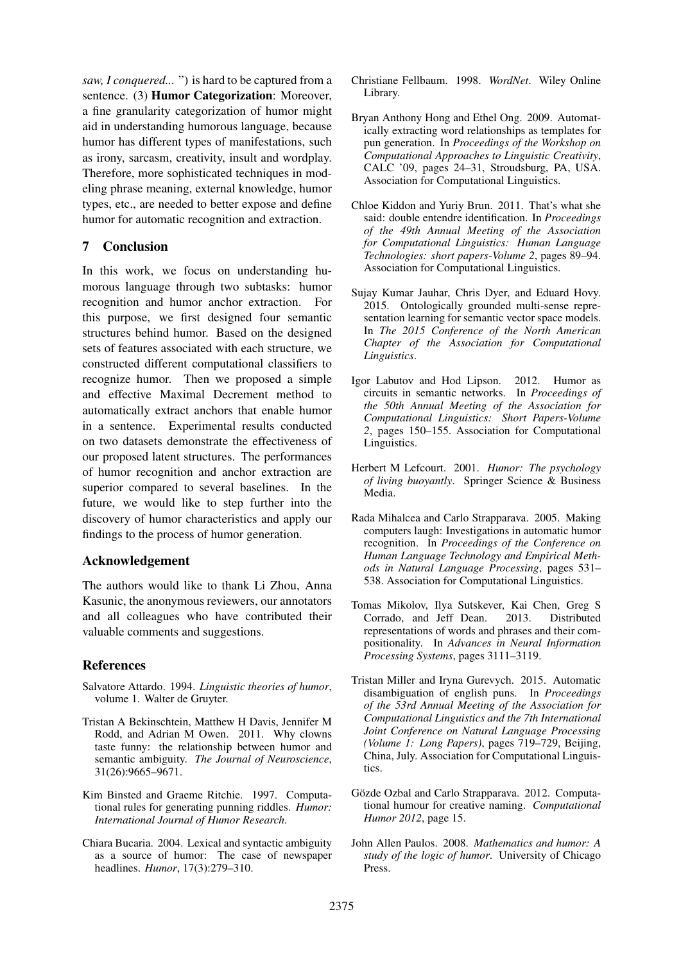*saw, I conquered...* ") is hard to be captured from a sentence. (3) Humor Categorization: Moreover, a fine granularity categorization of humor might aid in understanding humorous language, because humor has different types of manifestations, such as irony, sarcasm, creativity, insult and wordplay. Therefore, more sophisticated techniques in modeling phrase meaning, external knowledge, humor types, etc., are needed to better expose and define humor for automatic recognition and extraction.

## 7 Conclusion

In this work, we focus on understanding humorous language through two subtasks: humor recognition and humor anchor extraction. For this purpose, we first designed four semantic structures behind humor. Based on the designed sets of features associated with each structure, we constructed different computational classifiers to recognize humor. Then we proposed a simple and effective Maximal Decrement method to automatically extract anchors that enable humor in a sentence. Experimental results conducted on two datasets demonstrate the effectiveness of our proposed latent structures. The performances of humor recognition and anchor extraction are superior compared to several baselines. In the future, we would like to step further into the discovery of humor characteristics and apply our findings to the process of humor generation.

## Acknowledgement

The authors would like to thank Li Zhou, Anna Kasunic, the anonymous reviewers, our annotators and all colleagues who have contributed their valuable comments and suggestions.

# References

- Salvatore Attardo. 1994. *Linguistic theories of humor*, volume 1. Walter de Gruyter.
- Tristan A Bekinschtein, Matthew H Davis, Jennifer M Rodd, and Adrian M Owen. 2011. Why clowns taste funny: the relationship between humor and semantic ambiguity. *The Journal of Neuroscience*, 31(26):9665–9671.
- Kim Binsted and Graeme Ritchie. 1997. Computational rules for generating punning riddles. *Humor: International Journal of Humor Research*.
- Chiara Bucaria. 2004. Lexical and syntactic ambiguity as a source of humor: The case of newspaper headlines. *Humor*, 17(3):279–310.
- Christiane Fellbaum. 1998. *WordNet*. Wiley Online Library.
- Bryan Anthony Hong and Ethel Ong. 2009. Automatically extracting word relationships as templates for pun generation. In *Proceedings of the Workshop on Computational Approaches to Linguistic Creativity*, CALC '09, pages 24–31, Stroudsburg, PA, USA. Association for Computational Linguistics.
- Chloe Kiddon and Yuriy Brun. 2011. That's what she said: double entendre identification. In *Proceedings of the 49th Annual Meeting of the Association for Computational Linguistics: Human Language Technologies: short papers-Volume 2*, pages 89–94. Association for Computational Linguistics.
- Sujay Kumar Jauhar, Chris Dyer, and Eduard Hovy. 2015. Ontologically grounded multi-sense representation learning for semantic vector space models. In *The 2015 Conference of the North American Chapter of the Association for Computational Linguistics*.
- Igor Labutov and Hod Lipson. 2012. Humor as circuits in semantic networks. In *Proceedings of the 50th Annual Meeting of the Association for Computational Linguistics: Short Papers-Volume 2*, pages 150–155. Association for Computational Linguistics.
- Herbert M Lefcourt. 2001. *Humor: The psychology of living buoyantly*. Springer Science & Business Media.
- Rada Mihalcea and Carlo Strapparava. 2005. Making computers laugh: Investigations in automatic humor recognition. In *Proceedings of the Conference on Human Language Technology and Empirical Methods in Natural Language Processing*, pages 531– 538. Association for Computational Linguistics.
- Tomas Mikolov, Ilya Sutskever, Kai Chen, Greg S Corrado, and Jeff Dean. 2013. Distributed representations of words and phrases and their compositionality. In *Advances in Neural Information Processing Systems*, pages 3111–3119.
- Tristan Miller and Iryna Gurevych. 2015. Automatic disambiguation of english puns. In *Proceedings of the 53rd Annual Meeting of the Association for Computational Linguistics and the 7th International Joint Conference on Natural Language Processing (Volume 1: Long Papers)*, pages 719–729, Beijing, China, July. Association for Computational Linguistics.
- Gözde Ozbal and Carlo Strapparava. 2012. Computational humour for creative naming. *Computational Humor 2012*, page 15.
- John Allen Paulos. 2008. *Mathematics and humor: A study of the logic of humor*. University of Chicago Press.